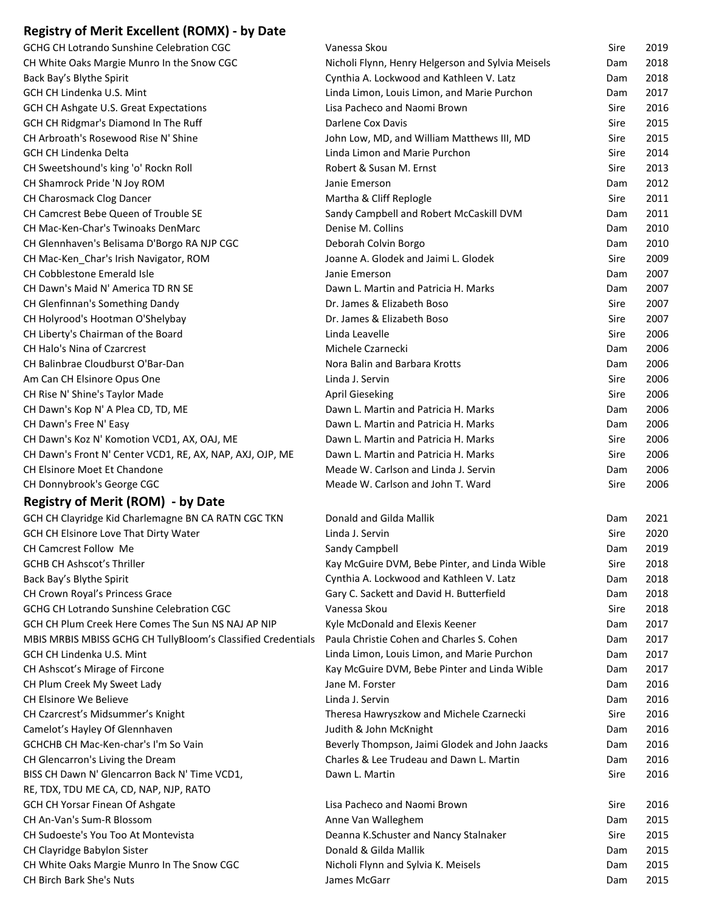## **Registry of Merit Excellent (ROMX) ‐ by Date**

| GCHG CH Lotrando Sunshine Celebration CGC                    | Vanessa Skou                                                                              | Sire | 2019         |
|--------------------------------------------------------------|-------------------------------------------------------------------------------------------|------|--------------|
| CH White Oaks Margie Munro In the Snow CGC                   | Nicholi Flynn, Henry Helgerson and Sylvia Meisels                                         | Dam  | 2018         |
| Back Bay's Blythe Spirit                                     | Cynthia A. Lockwood and Kathleen V. Latz                                                  | Dam  | 2018         |
| GCH CH Lindenka U.S. Mint                                    | Linda Limon, Louis Limon, and Marie Purchon                                               | Dam  | 2017         |
| GCH CH Ashgate U.S. Great Expectations                       | Lisa Pacheco and Naomi Brown                                                              | Sire | 2016         |
| GCH CH Ridgmar's Diamond In The Ruff                         | Darlene Cox Davis                                                                         | Sire | 2015         |
| CH Arbroath's Rosewood Rise N' Shine                         | John Low, MD, and William Matthews III, MD                                                | Sire | 2015         |
| <b>GCH CH Lindenka Delta</b>                                 | Linda Limon and Marie Purchon                                                             | Sire | 2014         |
| CH Sweetshound's king 'o' Rockn Roll                         | Robert & Susan M. Ernst                                                                   | Sire | 2013         |
| CH Shamrock Pride 'N Joy ROM                                 | Janie Emerson                                                                             | Dam  | 2012         |
| CH Charosmack Clog Dancer                                    | Martha & Cliff Replogle                                                                   | Sire | 2011         |
| CH Camcrest Bebe Queen of Trouble SE                         | Sandy Campbell and Robert McCaskill DVM                                                   | Dam  | 2011         |
| CH Mac-Ken-Char's Twinoaks DenMarc                           | Denise M. Collins                                                                         | Dam  | 2010         |
| CH Glennhaven's Belisama D'Borgo RA NJP CGC                  | Deborah Colvin Borgo                                                                      | Dam  | 2010         |
| CH Mac-Ken_Char's Irish Navigator, ROM                       | Joanne A. Glodek and Jaimi L. Glodek                                                      | Sire | 2009         |
| CH Cobblestone Emerald Isle                                  | Janie Emerson                                                                             | Dam  | 2007         |
| CH Dawn's Maid N' America TD RN SE                           | Dawn L. Martin and Patricia H. Marks                                                      | Dam  | 2007         |
| CH Glenfinnan's Something Dandy                              | Dr. James & Elizabeth Boso                                                                | Sire | 2007         |
| CH Holyrood's Hootman O'Shelybay                             | Dr. James & Elizabeth Boso                                                                | Sire | 2007         |
| CH Liberty's Chairman of the Board                           | Linda Leavelle                                                                            | Sire | 2006         |
| CH Halo's Nina of Czarcrest                                  | Michele Czarnecki                                                                         | Dam  | 2006         |
| CH Balinbrae Cloudburst O'Bar-Dan                            | Nora Balin and Barbara Krotts                                                             | Dam  | 2006         |
| Am Can CH Elsinore Opus One                                  | Linda J. Servin                                                                           | Sire | 2006         |
| CH Rise N' Shine's Taylor Made                               | <b>April Gieseking</b>                                                                    | Sire | 2006         |
| CH Dawn's Kop N' A Plea CD, TD, ME                           | Dawn L. Martin and Patricia H. Marks                                                      | Dam  | 2006         |
| CH Dawn's Free N' Easy                                       | Dawn L. Martin and Patricia H. Marks                                                      | Dam  | 2006         |
| CH Dawn's Koz N' Komotion VCD1, AX, OAJ, ME                  | Dawn L. Martin and Patricia H. Marks                                                      | Sire | 2006         |
| CH Dawn's Front N' Center VCD1, RE, AX, NAP, AXJ, OJP, ME    | Dawn L. Martin and Patricia H. Marks                                                      | Sire | 2006         |
| CH Elsinore Moet Et Chandone                                 | Meade W. Carlson and Linda J. Servin                                                      | Dam  | 2006         |
| CH Donnybrook's George CGC                                   | Meade W. Carlson and John T. Ward                                                         | Sire | 2006         |
| <b>Registry of Merit (ROM) - by Date</b>                     |                                                                                           |      |              |
| GCH CH Clayridge Kid Charlemagne BN CA RATN CGC TKN          | Donald and Gilda Mallik                                                                   | Dam  | 2021         |
| GCH CH Elsinore Love That Dirty Water                        | Linda J. Servin                                                                           | Sire | 2020         |
| CH Camcrest Follow Me                                        | Sandy Campbell                                                                            | Dam  | 2019         |
|                                                              |                                                                                           |      |              |
| <b>GCHB CH Ashscot's Thriller</b>                            | Kay McGuire DVM, Bebe Pinter, and Linda Wible<br>Cynthia A. Lockwood and Kathleen V. Latz | Sire | 2018<br>2018 |
| Back Bay's Blythe Spirit                                     |                                                                                           | Dam  |              |
| CH Crown Royal's Princess Grace                              | Gary C. Sackett and David H. Butterfield                                                  | Dam  | 2018         |
| GCHG CH Lotrando Sunshine Celebration CGC                    | Vanessa Skou                                                                              | Sire | 2018         |
| GCH CH Plum Creek Here Comes The Sun NS NAJ AP NIP           | Kyle McDonald and Elexis Keener                                                           | Dam  | 2017         |
| MBIS MRBIS MBISS GCHG CH TullyBloom's Classified Credentials | Paula Christie Cohen and Charles S. Cohen                                                 | Dam  | 2017         |
| GCH CH Lindenka U.S. Mint                                    | Linda Limon, Louis Limon, and Marie Purchon                                               | Dam  | 2017         |
| CH Ashscot's Mirage of Fircone                               | Kay McGuire DVM, Bebe Pinter and Linda Wible                                              | Dam  | 2017         |
| CH Plum Creek My Sweet Lady                                  | Jane M. Forster                                                                           | Dam  | 2016         |
| CH Elsinore We Believe                                       | Linda J. Servin                                                                           | Dam  | 2016         |
| CH Czarcrest's Midsummer's Knight                            | Theresa Hawryszkow and Michele Czarnecki                                                  | Sire | 2016         |
| Camelot's Hayley Of Glennhaven                               | Judith & John McKnight                                                                    | Dam  | 2016         |
| GCHCHB CH Mac-Ken-char's I'm So Vain                         | Beverly Thompson, Jaimi Glodek and John Jaacks                                            | Dam  | 2016         |
| CH Glencarron's Living the Dream                             | Charles & Lee Trudeau and Dawn L. Martin                                                  | Dam  | 2016         |
| BISS CH Dawn N' Glencarron Back N' Time VCD1,                | Dawn L. Martin                                                                            | Sire | 2016         |
| RE, TDX, TDU ME CA, CD, NAP, NJP, RATO                       |                                                                                           |      |              |
| GCH CH Yorsar Finean Of Ashgate                              | Lisa Pacheco and Naomi Brown                                                              | Sire | 2016         |
| CH An-Van's Sum-R Blossom                                    | Anne Van Walleghem                                                                        | Dam  | 2015         |
| CH Sudoeste's You Too At Montevista                          | Deanna K.Schuster and Nancy Stalnaker                                                     | Sire | 2015         |
| CH Clayridge Babylon Sister                                  | Donald & Gilda Mallik                                                                     | Dam  | 2015         |
| CH White Oaks Margie Munro In The Snow CGC                   | Nicholi Flynn and Sylvia K. Meisels                                                       | Dam  | 2015         |
| CH Birch Bark She's Nuts                                     | James McGarr                                                                              | Dam  | 2015         |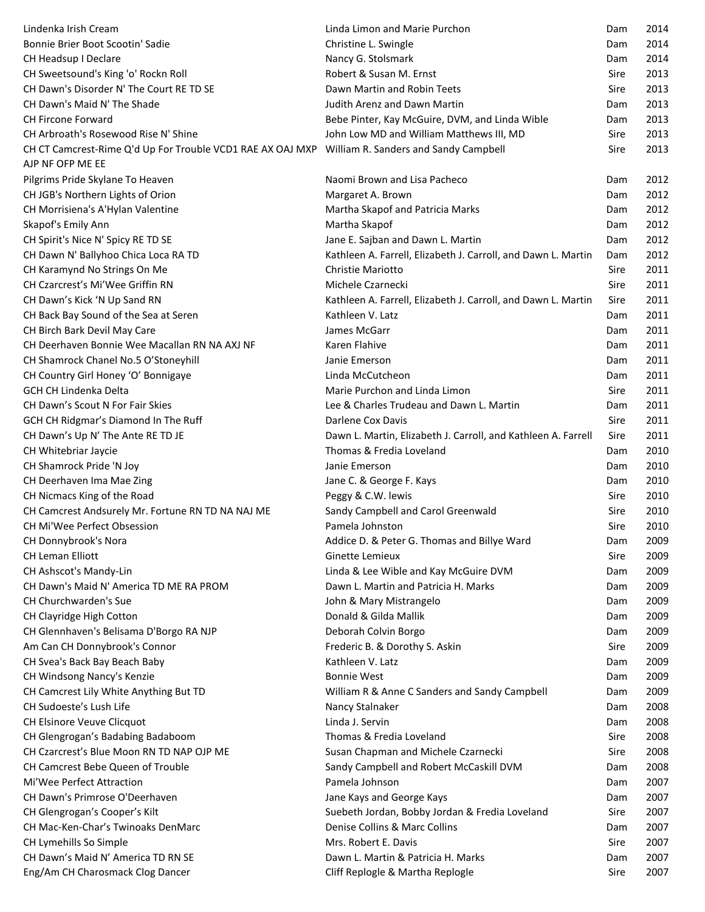| Lindenka Irish Cream                                                                             | Linda Limon and Marie Purchon                                 | Dam  | 2014 |
|--------------------------------------------------------------------------------------------------|---------------------------------------------------------------|------|------|
| Bonnie Brier Boot Scootin' Sadie                                                                 | Christine L. Swingle                                          | Dam  | 2014 |
| CH Headsup I Declare                                                                             | Nancy G. Stolsmark                                            | Dam  | 2014 |
| CH Sweetsound's King 'o' Rockn Roll                                                              | Robert & Susan M. Ernst                                       | Sire | 2013 |
| CH Dawn's Disorder N' The Court RE TD SE                                                         | Dawn Martin and Robin Teets                                   | Sire | 2013 |
| CH Dawn's Maid N' The Shade                                                                      | Judith Arenz and Dawn Martin                                  | Dam  | 2013 |
| <b>CH Fircone Forward</b>                                                                        | Bebe Pinter, Kay McGuire, DVM, and Linda Wible                | Dam  | 2013 |
| CH Arbroath's Rosewood Rise N' Shine                                                             | John Low MD and William Matthews III, MD                      | Sire | 2013 |
| CH CT Camcrest-Rime Q'd Up For Trouble VCD1 RAE AX OAJ MXP William R. Sanders and Sandy Campbell |                                                               | Sire | 2013 |
| AJP NF OFP ME EE                                                                                 |                                                               |      |      |
| Pilgrims Pride Skylane To Heaven                                                                 | Naomi Brown and Lisa Pacheco                                  | Dam  | 2012 |
| CH JGB's Northern Lights of Orion                                                                | Margaret A. Brown                                             | Dam  | 2012 |
| CH Morrisiena's A'Hylan Valentine                                                                | Martha Skapof and Patricia Marks                              | Dam  | 2012 |
| Skapof's Emily Ann                                                                               | Martha Skapof                                                 | Dam  | 2012 |
| CH Spirit's Nice N' Spicy RE TD SE                                                               | Jane E. Sajban and Dawn L. Martin                             | Dam  | 2012 |
| CH Dawn N' Ballyhoo Chica Loca RA TD                                                             | Kathleen A. Farrell, Elizabeth J. Carroll, and Dawn L. Martin | Dam  | 2012 |
| CH Karamynd No Strings On Me                                                                     | Christie Mariotto                                             | Sire | 2011 |
| CH Czarcrest's Mi'Wee Griffin RN                                                                 | Michele Czarnecki                                             | Sire | 2011 |
| CH Dawn's Kick 'N Up Sand RN                                                                     | Kathleen A. Farrell, Elizabeth J. Carroll, and Dawn L. Martin | Sire | 2011 |
| CH Back Bay Sound of the Sea at Seren                                                            | Kathleen V. Latz                                              | Dam  | 2011 |
| CH Birch Bark Devil May Care                                                                     | James McGarr                                                  | Dam  | 2011 |
| CH Deerhaven Bonnie Wee Macallan RN NA AXJ NF                                                    | Karen Flahive                                                 | Dam  | 2011 |
| CH Shamrock Chanel No.5 O'Stoneyhill                                                             | Janie Emerson                                                 | Dam  | 2011 |
| CH Country Girl Honey 'O' Bonnigaye                                                              | Linda McCutcheon                                              | Dam  | 2011 |
| <b>GCH CH Lindenka Delta</b>                                                                     | Marie Purchon and Linda Limon                                 | Sire | 2011 |
| CH Dawn's Scout N For Fair Skies                                                                 | Lee & Charles Trudeau and Dawn L. Martin                      | Dam  | 2011 |
| GCH CH Ridgmar's Diamond In The Ruff                                                             | Darlene Cox Davis                                             | Sire | 2011 |
| CH Dawn's Up N' The Ante RE TD JE                                                                | Dawn L. Martin, Elizabeth J. Carroll, and Kathleen A. Farrell | Sire | 2011 |
| CH Whitebriar Jaycie                                                                             | Thomas & Fredia Loveland                                      | Dam  | 2010 |
| CH Shamrock Pride 'N Joy                                                                         | Janie Emerson                                                 | Dam  | 2010 |
| CH Deerhaven Ima Mae Zing                                                                        | Jane C. & George F. Kays                                      | Dam  | 2010 |
| CH Nicmacs King of the Road                                                                      | Peggy & C.W. lewis                                            | Sire | 2010 |
| CH Camcrest Andsurely Mr. Fortune RN TD NA NAJ ME                                                | Sandy Campbell and Carol Greenwald                            | Sire | 2010 |
| CH Mi'Wee Perfect Obsession                                                                      | Pamela Johnston                                               | Sire | 2010 |
| CH Donnybrook's Nora                                                                             | Addice D. & Peter G. Thomas and Billye Ward                   | Dam  | 2009 |
| <b>CH Leman Elliott</b>                                                                          | Ginette Lemieux                                               | Sire | 2009 |
| CH Ashscot's Mandy-Lin                                                                           | Linda & Lee Wible and Kay McGuire DVM                         | Dam  | 2009 |
| CH Dawn's Maid N' America TD ME RA PROM                                                          | Dawn L. Martin and Patricia H. Marks                          | Dam  | 2009 |
| <b>CH Churchwarden's Sue</b>                                                                     | John & Mary Mistrangelo                                       | Dam  | 2009 |
| CH Clayridge High Cotton                                                                         | Donald & Gilda Mallik                                         | Dam  | 2009 |
| CH Glennhaven's Belisama D'Borgo RA NJP                                                          | Deborah Colvin Borgo                                          | Dam  | 2009 |
| Am Can CH Donnybrook's Connor                                                                    | Frederic B. & Dorothy S. Askin                                | Sire | 2009 |
| CH Svea's Back Bay Beach Baby                                                                    | Kathleen V. Latz                                              | Dam  | 2009 |
| CH Windsong Nancy's Kenzie                                                                       | <b>Bonnie West</b>                                            | Dam  | 2009 |
| CH Camcrest Lily White Anything But TD                                                           | William R & Anne C Sanders and Sandy Campbell                 | Dam  | 2009 |
| CH Sudoeste's Lush Life                                                                          | Nancy Stalnaker                                               | Dam  | 2008 |
| CH Elsinore Veuve Clicquot                                                                       | Linda J. Servin                                               | Dam  | 2008 |
| CH Glengrogan's Badabing Badaboom                                                                | Thomas & Fredia Loveland                                      | Sire | 2008 |
| CH Czarcrest's Blue Moon RN TD NAP OJP ME                                                        | Susan Chapman and Michele Czarnecki                           | Sire | 2008 |
| <b>CH Camcrest Bebe Queen of Trouble</b>                                                         | Sandy Campbell and Robert McCaskill DVM                       | Dam  | 2008 |
| Mi'Wee Perfect Attraction                                                                        | Pamela Johnson                                                | Dam  | 2007 |
| CH Dawn's Primrose O'Deerhaven                                                                   | Jane Kays and George Kays                                     | Dam  | 2007 |
| CH Glengrogan's Cooper's Kilt                                                                    | Suebeth Jordan, Bobby Jordan & Fredia Loveland                | Sire | 2007 |
| CH Mac-Ken-Char's Twinoaks DenMarc                                                               | Denise Collins & Marc Collins                                 | Dam  | 2007 |
| CH Lymehills So Simple                                                                           | Mrs. Robert E. Davis                                          | Sire | 2007 |
| CH Dawn's Maid N' America TD RN SE                                                               | Dawn L. Martin & Patricia H. Marks                            | Dam  | 2007 |
| Eng/Am CH Charosmack Clog Dancer                                                                 | Cliff Replogle & Martha Replogle                              | Sire | 2007 |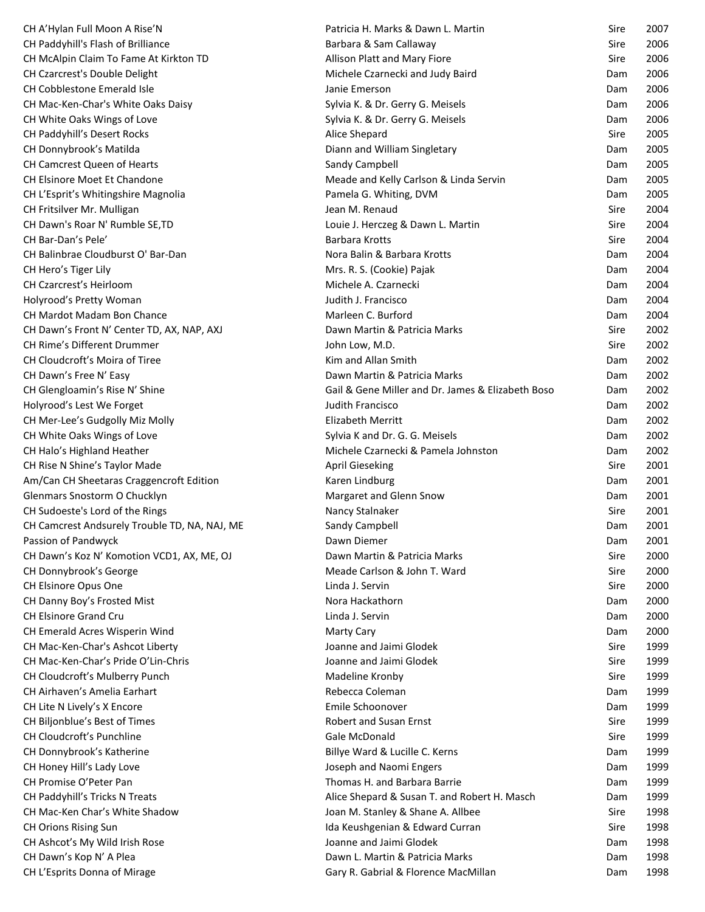| CH A'Hylan Full Moon A Rise'N                           | Patricia H. Marks & Dawn L. Martin                                      | Sire       | 2007         |
|---------------------------------------------------------|-------------------------------------------------------------------------|------------|--------------|
| CH Paddyhill's Flash of Brilliance                      | Barbara & Sam Callaway                                                  | Sire       | 2006         |
| CH McAlpin Claim To Fame At Kirkton TD                  | Allison Platt and Mary Fiore                                            | Sire       | 2006         |
| CH Czarcrest's Double Delight                           | Michele Czarnecki and Judy Baird                                        | Dam        | 2006         |
| CH Cobblestone Emerald Isle                             | Janie Emerson                                                           | Dam        | 2006         |
| CH Mac-Ken-Char's White Oaks Daisy                      | Sylvia K. & Dr. Gerry G. Meisels                                        | Dam        | 2006         |
| CH White Oaks Wings of Love                             | Sylvia K. & Dr. Gerry G. Meisels                                        | Dam        | 2006         |
| CH Paddyhill's Desert Rocks                             | Alice Shepard                                                           | Sire       | 2005         |
| CH Donnybrook's Matilda                                 | Diann and William Singletary                                            | Dam        | 2005         |
| CH Camcrest Queen of Hearts                             | Sandy Campbell                                                          | Dam        | 2005         |
| CH Elsinore Moet Et Chandone                            | Meade and Kelly Carlson & Linda Servin                                  | Dam        | 2005         |
| CH L'Esprit's Whitingshire Magnolia                     | Pamela G. Whiting, DVM                                                  | Dam        | 2005         |
| CH Fritsilver Mr. Mulligan                              | Jean M. Renaud                                                          | Sire       | 2004         |
| CH Dawn's Roar N' Rumble SE, TD                         | Louie J. Herczeg & Dawn L. Martin                                       | Sire       | 2004         |
| CH Bar-Dan's Pele'                                      | <b>Barbara Krotts</b>                                                   | Sire       | 2004         |
| CH Balinbrae Cloudburst O' Bar-Dan                      | Nora Balin & Barbara Krotts                                             | Dam        | 2004         |
| CH Hero's Tiger Lily                                    | Mrs. R. S. (Cookie) Pajak                                               | Dam        | 2004         |
| CH Czarcrest's Heirloom                                 | Michele A. Czarnecki                                                    | Dam        | 2004         |
| Holyrood's Pretty Woman                                 | Judith J. Francisco                                                     | Dam        | 2004         |
| <b>CH Mardot Madam Bon Chance</b>                       | Marleen C. Burford                                                      | Dam        | 2004         |
| CH Dawn's Front N' Center TD, AX, NAP, AXJ              | Dawn Martin & Patricia Marks                                            | Sire       | 2002         |
| CH Rime's Different Drummer                             | John Low, M.D.                                                          | Sire       | 2002         |
| CH Cloudcroft's Moira of Tiree                          | Kim and Allan Smith                                                     | Dam        | 2002         |
| CH Dawn's Free N' Easy                                  | Dawn Martin & Patricia Marks                                            | Dam        | 2002         |
| CH Glengloamin's Rise N' Shine                          | Gail & Gene Miller and Dr. James & Elizabeth Boso                       | Dam        | 2002         |
| Holyrood's Lest We Forget                               | <b>Judith Francisco</b>                                                 | Dam        | 2002         |
| CH Mer-Lee's Gudgolly Miz Molly                         | Elizabeth Merritt                                                       | Dam        | 2002         |
| CH White Oaks Wings of Love                             | Sylvia K and Dr. G. G. Meisels                                          | Dam        | 2002         |
| CH Halo's Highland Heather                              | Michele Czarnecki & Pamela Johnston                                     | Dam        | 2002         |
| CH Rise N Shine's Taylor Made                           | <b>April Gieseking</b>                                                  | Sire       | 2001         |
| Am/Can CH Sheetaras Craggencroft Edition                | Karen Lindburg                                                          | Dam        | 2001         |
| Glenmars Snostorm O Chucklyn                            | Margaret and Glenn Snow                                                 | Dam        | 2001         |
| CH Sudoeste's Lord of the Rings                         | Nancy Stalnaker                                                         | Sire       | 2001         |
| CH Camcrest Andsurely Trouble TD, NA, NAJ, ME           | Sandy Campbell                                                          | Dam        | 2001         |
| Passion of Pandwyck                                     | Dawn Diemer                                                             | Dam        | 2001         |
| CH Dawn's Koz N' Komotion VCD1, AX, ME, OJ              | Dawn Martin & Patricia Marks                                            | Sire       | 2000         |
| CH Donnybrook's George                                  | Meade Carlson & John T. Ward                                            | Sire       | 2000         |
| CH Elsinore Opus One                                    | Linda J. Servin                                                         | Sire       | 2000         |
|                                                         |                                                                         |            |              |
|                                                         |                                                                         |            |              |
| CH Danny Boy's Frosted Mist                             | Nora Hackathorn                                                         | Dam        | 2000         |
| CH Elsinore Grand Cru                                   | Linda J. Servin                                                         | Dam        | 2000         |
| CH Emerald Acres Wisperin Wind                          | <b>Marty Cary</b>                                                       | Dam        | 2000         |
| CH Mac-Ken-Char's Ashcot Liberty                        | Joanne and Jaimi Glodek                                                 | Sire       | 1999         |
| CH Mac-Ken-Char's Pride O'Lin-Chris                     | Joanne and Jaimi Glodek                                                 | Sire       | 1999         |
| CH Cloudcroft's Mulberry Punch                          | Madeline Kronby                                                         | Sire       | 1999         |
| CH Airhaven's Amelia Earhart                            | Rebecca Coleman                                                         | Dam        | 1999         |
| CH Lite N Lively's X Encore                             | Emile Schoonover                                                        | Dam        | 1999         |
| CH Biljonblue's Best of Times                           | Robert and Susan Ernst                                                  | Sire       | 1999         |
| CH Cloudcroft's Punchline                               | Gale McDonald                                                           | Sire       | 1999         |
| CH Donnybrook's Katherine                               | Billye Ward & Lucille C. Kerns                                          | Dam        | 1999         |
| CH Honey Hill's Lady Love                               | Joseph and Naomi Engers                                                 | Dam        | 1999         |
| CH Promise O'Peter Pan                                  | Thomas H. and Barbara Barrie                                            | Dam        | 1999         |
| CH Paddyhill's Tricks N Treats                          | Alice Shepard & Susan T. and Robert H. Masch                            | Dam        | 1999         |
| CH Mac-Ken Char's White Shadow                          | Joan M. Stanley & Shane A. Allbee                                       | Sire       | 1998         |
| <b>CH Orions Rising Sun</b>                             | Ida Keushgenian & Edward Curran                                         | Sire       | 1998         |
| CH Ashcot's My Wild Irish Rose                          | Joanne and Jaimi Glodek                                                 | Dam        | 1998         |
| CH Dawn's Kop N' A Plea<br>CH L'Esprits Donna of Mirage | Dawn L. Martin & Patricia Marks<br>Gary R. Gabrial & Florence MacMillan | Dam<br>Dam | 1998<br>1998 |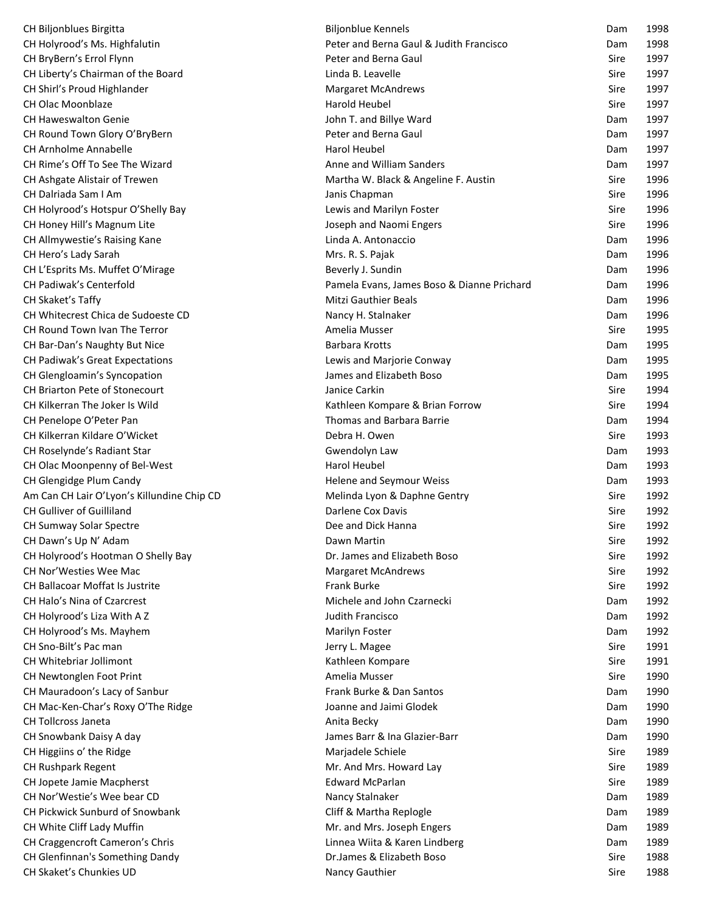| CH Biljonblues Birgitta                    | <b>Biljonblue Kennels</b>                  | Dam  | 1998 |
|--------------------------------------------|--------------------------------------------|------|------|
| CH Holyrood's Ms. Highfalutin              | Peter and Berna Gaul & Judith Francisco    | Dam  | 1998 |
| CH BryBern's Errol Flynn                   | Peter and Berna Gaul                       | Sire | 1997 |
| CH Liberty's Chairman of the Board         | Linda B. Leavelle                          | Sire | 1997 |
| CH Shirl's Proud Highlander                | <b>Margaret McAndrews</b>                  | Sire | 1997 |
| CH Olac Moonblaze                          | Harold Heubel                              | Sire | 1997 |
| <b>CH Haweswalton Genie</b>                | John T. and Billye Ward                    | Dam  | 1997 |
| CH Round Town Glory O'BryBern              | Peter and Berna Gaul                       | Dam  | 1997 |
| <b>CH Arnholme Annabelle</b>               | Harol Heubel                               | Dam  | 1997 |
| CH Rime's Off To See The Wizard            | Anne and William Sanders                   | Dam  | 1997 |
| CH Ashgate Alistair of Trewen              | Martha W. Black & Angeline F. Austin       | Sire | 1996 |
| CH Dalriada Sam I Am                       | Janis Chapman                              | Sire | 1996 |
| CH Holyrood's Hotspur O'Shelly Bay         | Lewis and Marilyn Foster                   | Sire | 1996 |
| CH Honey Hill's Magnum Lite                | Joseph and Naomi Engers                    | Sire | 1996 |
| CH Allmywestie's Raising Kane              | Linda A. Antonaccio                        | Dam  | 1996 |
| CH Hero's Lady Sarah                       | Mrs. R. S. Pajak                           | Dam  | 1996 |
| CH L'Esprits Ms. Muffet O'Mirage           | Beverly J. Sundin                          | Dam  | 1996 |
| CH Padiwak's Centerfold                    | Pamela Evans, James Boso & Dianne Prichard | Dam  | 1996 |
| CH Skaket's Taffy                          | <b>Mitzi Gauthier Beals</b>                | Dam  | 1996 |
| CH Whitecrest Chica de Sudoeste CD         | Nancy H. Stalnaker                         | Dam  | 1996 |
| CH Round Town Ivan The Terror              | Amelia Musser                              | Sire | 1995 |
| CH Bar-Dan's Naughty But Nice              | <b>Barbara Krotts</b>                      | Dam  | 1995 |
| CH Padiwak's Great Expectations            | Lewis and Marjorie Conway                  | Dam  | 1995 |
| CH Glengloamin's Syncopation               | James and Elizabeth Boso                   | Dam  | 1995 |
| CH Briarton Pete of Stonecourt             | Janice Carkin                              | Sire | 1994 |
| CH Kilkerran The Joker Is Wild             | Kathleen Kompare & Brian Forrow            | Sire | 1994 |
| CH Penelope O'Peter Pan                    | <b>Thomas and Barbara Barrie</b>           | Dam  | 1994 |
| CH Kilkerran Kildare O'Wicket              | Debra H. Owen                              | Sire | 1993 |
| CH Roselynde's Radiant Star                | Gwendolyn Law                              | Dam  | 1993 |
| CH Olac Moonpenny of Bel-West              | Harol Heubel                               | Dam  | 1993 |
| CH Glengidge Plum Candy                    | Helene and Seymour Weiss                   | Dam  | 1993 |
| Am Can CH Lair O'Lyon's Killundine Chip CD | Melinda Lyon & Daphne Gentry               | Sire | 1992 |
| CH Gulliver of Guilliland                  | Darlene Cox Davis                          | Sire | 1992 |
| CH Sumway Solar Spectre                    | Dee and Dick Hanna                         | Sire | 1992 |
| CH Dawn's Up N' Adam                       | Dawn Martin                                | Sire | 1992 |
| CH Holyrood's Hootman O Shelly Bay         | Dr. James and Elizabeth Boso               | Sire | 1992 |
| <b>CH Nor'Westies Wee Mac</b>              | <b>Margaret McAndrews</b>                  | Sire | 1992 |
| <b>CH Ballacoar Moffat Is Justrite</b>     | Frank Burke                                | Sire | 1992 |
| CH Halo's Nina of Czarcrest                | Michele and John Czarnecki                 | Dam  | 1992 |
| CH Holyrood's Liza With A Z                | Judith Francisco                           | Dam  | 1992 |
| CH Holyrood's Ms. Mayhem                   | Marilyn Foster                             | Dam  | 1992 |
| CH Sno-Bilt's Pac man                      | Jerry L. Magee                             | Sire | 1991 |
| CH Whitebriar Jollimont                    | Kathleen Kompare                           | Sire | 1991 |
| CH Newtonglen Foot Print                   | Amelia Musser                              | Sire | 1990 |
| CH Mauradoon's Lacy of Sanbur              | Frank Burke & Dan Santos                   | Dam  | 1990 |
| CH Mac-Ken-Char's Roxy O'The Ridge         | Joanne and Jaimi Glodek                    | Dam  | 1990 |
| <b>CH Tollcross Janeta</b>                 | Anita Becky                                | Dam  | 1990 |
| CH Snowbank Daisy A day                    | James Barr & Ina Glazier-Barr              | Dam  | 1990 |
| CH Higgiins o' the Ridge                   | Marjadele Schiele                          | Sire | 1989 |
| CH Rushpark Regent                         | Mr. And Mrs. Howard Lay                    | Sire | 1989 |
| CH Jopete Jamie Macpherst                  | <b>Edward McParlan</b>                     | Sire | 1989 |
| CH Nor' Westie's Wee bear CD               | Nancy Stalnaker                            | Dam  | 1989 |
| CH Pickwick Sunburd of Snowbank            | Cliff & Martha Replogle                    | Dam  | 1989 |
| CH White Cliff Lady Muffin                 | Mr. and Mrs. Joseph Engers                 | Dam  | 1989 |
| CH Craggencroft Cameron's Chris            | Linnea Wiita & Karen Lindberg              | Dam  | 1989 |
| CH Glenfinnan's Something Dandy            | Dr.James & Elizabeth Boso                  | Sire | 1988 |
| CH Skaket's Chunkies UD                    | Nancy Gauthier                             | Sire | 1988 |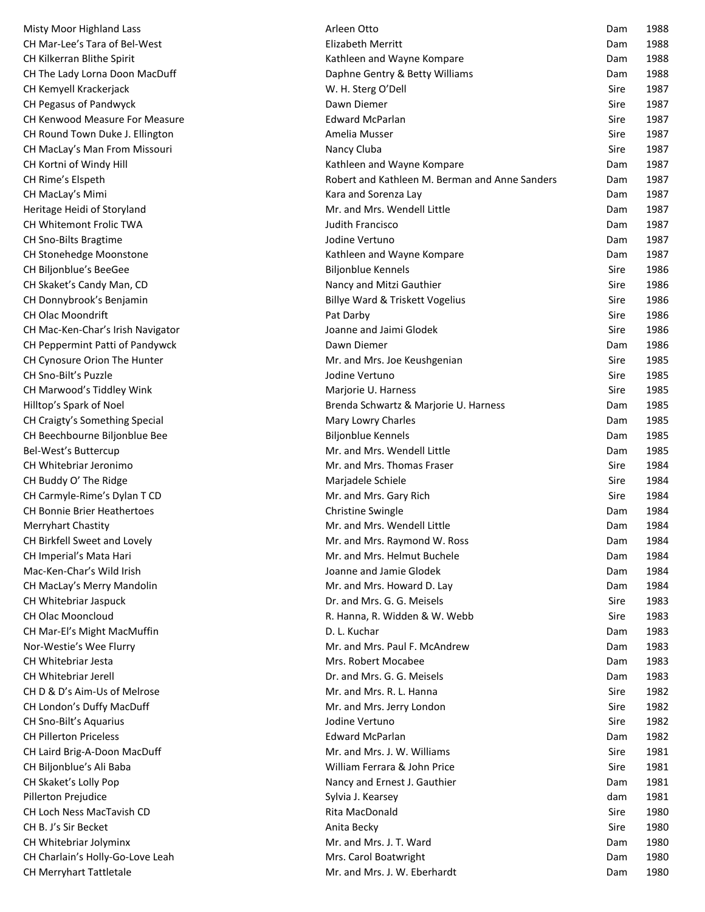| Misty Moor Highland Lass           | Arleen Otto                                    | Dam  | 1988 |
|------------------------------------|------------------------------------------------|------|------|
| CH Mar-Lee's Tara of Bel-West      | <b>Elizabeth Merritt</b>                       | Dam  | 1988 |
| CH Kilkerran Blithe Spirit         | Kathleen and Wayne Kompare                     | Dam  | 1988 |
| CH The Lady Lorna Doon MacDuff     | Daphne Gentry & Betty Williams                 | Dam  | 1988 |
| CH Kemyell Krackerjack             | W. H. Sterg O'Dell                             | Sire | 1987 |
| CH Pegasus of Pandwyck             | Dawn Diemer                                    | Sire | 1987 |
| CH Kenwood Measure For Measure     | <b>Edward McParlan</b>                         | Sire | 1987 |
| CH Round Town Duke J. Ellington    | Amelia Musser                                  | Sire | 1987 |
| CH MacLay's Man From Missouri      | Nancy Cluba                                    | Sire | 1987 |
| CH Kortni of Windy Hill            | Kathleen and Wayne Kompare                     | Dam  | 1987 |
| CH Rime's Elspeth                  | Robert and Kathleen M. Berman and Anne Sanders | Dam  | 1987 |
| CH MacLay's Mimi                   | Kara and Sorenza Lay                           | Dam  | 1987 |
| Heritage Heidi of Storyland        | Mr. and Mrs. Wendell Little                    | Dam  | 1987 |
| CH Whitemont Frolic TWA            | Judith Francisco                               | Dam  | 1987 |
| CH Sno-Bilts Bragtime              | Jodine Vertuno                                 | Dam  | 1987 |
| CH Stonehedge Moonstone            | Kathleen and Wayne Kompare                     | Dam  | 1987 |
| CH Biljonblue's BeeGee             | <b>Biljonblue Kennels</b>                      | Sire | 1986 |
| CH Skaket's Candy Man, CD          | Nancy and Mitzi Gauthier                       | Sire | 1986 |
| CH Donnybrook's Benjamin           | Billye Ward & Triskett Vogelius                | Sire | 1986 |
| CH Olac Moondrift                  | Pat Darby                                      | Sire | 1986 |
| CH Mac-Ken-Char's Irish Navigator  | Joanne and Jaimi Glodek                        | Sire | 1986 |
| CH Peppermint Patti of Pandywck    | Dawn Diemer                                    | Dam  | 1986 |
| CH Cynosure Orion The Hunter       | Mr. and Mrs. Joe Keushgenian                   | Sire | 1985 |
| CH Sno-Bilt's Puzzle               | Jodine Vertuno                                 | Sire | 1985 |
| CH Marwood's Tiddley Wink          | Marjorie U. Harness                            | Sire | 1985 |
| Hilltop's Spark of Noel            | Brenda Schwartz & Marjorie U. Harness          | Dam  | 1985 |
| CH Craigty's Something Special     | Mary Lowry Charles                             | Dam  | 1985 |
| CH Beechbourne Biljonblue Bee      | <b>Biljonblue Kennels</b>                      | Dam  | 1985 |
| Bel-West's Buttercup               | Mr. and Mrs. Wendell Little                    | Dam  | 1985 |
| CH Whitebriar Jeronimo             | Mr. and Mrs. Thomas Fraser                     | Sire | 1984 |
| CH Buddy O' The Ridge              | Marjadele Schiele                              | Sire | 1984 |
| CH Carmyle-Rime's Dylan T CD       | Mr. and Mrs. Gary Rich                         | Sire | 1984 |
| <b>CH Bonnie Brier Heathertoes</b> | <b>Christine Swingle</b>                       | Dam  | 1984 |
| Merryhart Chastity                 | Mr. and Mrs. Wendell Little                    | Dam  | 1984 |
| CH Birkfell Sweet and Lovely       | Mr. and Mrs. Raymond W. Ross                   | Dam  | 1984 |
| CH Imperial's Mata Hari            | Mr. and Mrs. Helmut Buchele                    | Dam  | 1984 |
| Mac-Ken-Char's Wild Irish          | Joanne and Jamie Glodek                        | Dam  | 1984 |
| CH MacLay's Merry Mandolin         | Mr. and Mrs. Howard D. Lay                     | Dam  | 1984 |
| CH Whitebriar Jaspuck              | Dr. and Mrs. G. G. Meisels                     | Sire | 1983 |
| CH Olac Mooncloud                  | R. Hanna, R. Widden & W. Webb                  | Sire | 1983 |
| CH Mar-El's Might MacMuffin        | D. L. Kuchar                                   | Dam  | 1983 |
| Nor-Westie's Wee Flurry            | Mr. and Mrs. Paul F. McAndrew                  | Dam  | 1983 |
| CH Whitebriar Jesta                | Mrs. Robert Mocabee                            | Dam  | 1983 |
| <b>CH Whitebriar Jerell</b>        | Dr. and Mrs. G. G. Meisels                     | Dam  | 1983 |
| CH D & D's Aim-Us of Melrose       | Mr. and Mrs. R. L. Hanna                       | Sire | 1982 |
| CH London's Duffy MacDuff          | Mr. and Mrs. Jerry London                      | Sire | 1982 |
| CH Sno-Bilt's Aquarius             | Jodine Vertuno                                 | Sire | 1982 |
| <b>CH Pillerton Priceless</b>      | <b>Edward McParlan</b>                         | Dam  | 1982 |
| CH Laird Brig-A-Doon MacDuff       | Mr. and Mrs. J. W. Williams                    | Sire | 1981 |
| CH Biljonblue's Ali Baba           | William Ferrara & John Price                   | Sire | 1981 |
| CH Skaket's Lolly Pop              | Nancy and Ernest J. Gauthier                   | Dam  | 1981 |
| Pillerton Prejudice                | Sylvia J. Kearsey                              | dam  | 1981 |
| CH Loch Ness MacTavish CD          | Rita MacDonald                                 | Sire | 1980 |
| CH B. J's Sir Becket               | Anita Becky                                    | Sire | 1980 |
| CH Whitebriar Jolyminx             | Mr. and Mrs. J. T. Ward                        | Dam  | 1980 |
| CH Charlain's Holly-Go-Love Leah   | Mrs. Carol Boatwright                          | Dam  | 1980 |
| CH Merryhart Tattletale            | Mr. and Mrs. J. W. Eberhardt                   | Dam  | 1980 |
|                                    |                                                |      |      |